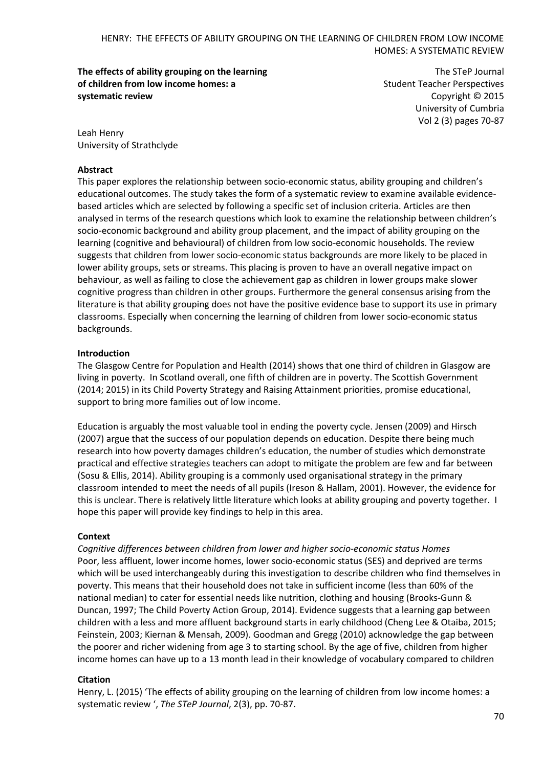**The effects of ability grouping on the learning of children from low income homes: a systematic review**

The STeP Journal Student Teacher Perspectives Copyright © 2015 University of Cumbria Vol 2 (3) pages 70-87

Leah Henry University of Strathclyde

## **Abstract**

This paper explores the relationship between socio-economic status, ability grouping and children's educational outcomes. The study takes the form of a systematic review to examine available evidencebased articles which are selected by following a specific set of inclusion criteria. Articles are then analysed in terms of the research questions which look to examine the relationship between children's socio-economic background and ability group placement, and the impact of ability grouping on the learning (cognitive and behavioural) of children from low socio-economic households. The review suggests that children from lower socio-economic status backgrounds are more likely to be placed in lower ability groups, sets or streams. This placing is proven to have an overall negative impact on behaviour, as well as failing to close the achievement gap as children in lower groups make slower cognitive progress than children in other groups. Furthermore the general consensus arising from the literature is that ability grouping does not have the positive evidence base to support its use in primary classrooms. Especially when concerning the learning of children from lower socio-economic status backgrounds.

# **Introduction**

The Glasgow Centre for Population and Health (2014) shows that one third of children in Glasgow are living in poverty. In Scotland overall, one fifth of children are in poverty. The Scottish Government (2014; 2015) in its Child Poverty Strategy and Raising Attainment priorities, promise educational, support to bring more families out of low income.

Education is arguably the most valuable tool in ending the poverty cycle. Jensen (2009) and Hirsch (2007) argue that the success of our population depends on education. Despite there being much research into how poverty damages children's education, the number of studies which demonstrate practical and effective strategies teachers can adopt to mitigate the problem are few and far between (Sosu & Ellis, 2014). Ability grouping is a commonly used organisational strategy in the primary classroom intended to meet the needs of all pupils (Ireson & Hallam, 2001). However, the evidence for this is unclear. There is relatively little literature which looks at ability grouping and poverty together. I hope this paper will provide key findings to help in this area.

#### **Context**

*Cognitive differences between children from lower and higher socio-economic status Homes* Poor, less affluent, lower income homes, lower socio-economic status (SES) and deprived are terms which will be used interchangeably during this investigation to describe children who find themselves in poverty. This means that their household does not take in sufficient income (less than 60% of the national median) to cater for essential needs like nutrition, clothing and housing (Brooks-Gunn & Duncan, 1997; The Child Poverty Action Group, 2014). Evidence suggests that a learning gap between children with a less and more affluent background starts in early childhood (Cheng Lee & Otaiba, 2015; Feinstein, 2003; Kiernan & Mensah, 2009). Goodman and Gregg (2010) acknowledge the gap between the poorer and richer widening from age 3 to starting school. By the age of five, children from higher income homes can have up to a 13 month lead in their knowledge of vocabulary compared to children

#### **Citation**

Henry, L. (2015) 'The effects of ability grouping on the learning of children from low income homes: a systematic review ', *The STeP Journal*, 2(3), pp. 70-87.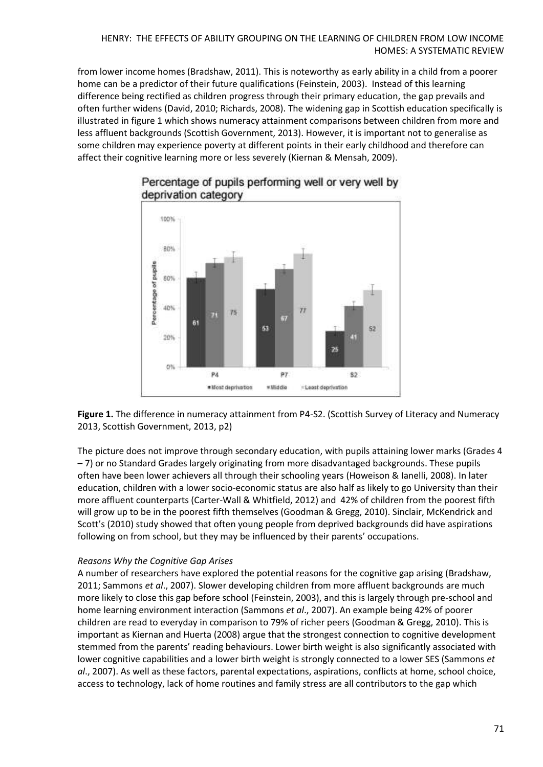from lower income homes (Bradshaw, 2011). This is noteworthy as early ability in a child from a poorer home can be a predictor of their future qualifications (Feinstein, 2003). Instead of this learning difference being rectified as children progress through their primary education, the gap prevails and often further widens (David, 2010; Richards, 2008). The widening gap in Scottish education specifically is illustrated in figure 1 which shows numeracy attainment comparisons between children from more and less affluent backgrounds (Scottish Government, 2013). However, it is important not to generalise as some children may experience poverty at different points in their early childhood and therefore can affect their cognitive learning more or less severely (Kiernan & Mensah, 2009).



# Percentage of pupils performing well or very well by deprivation category

**Figure 1.** The difference in numeracy attainment from P4-S2. (Scottish Survey of Literacy and Numeracy 2013, Scottish Government, 2013, p2)

The picture does not improve through secondary education, with pupils attaining lower marks (Grades 4 – 7) or no Standard Grades largely originating from more disadvantaged backgrounds. These pupils often have been lower achievers all through their schooling years (Howeison & Ianelli, 2008). In later education, children with a lower socio-economic status are also half as likely to go University than their more affluent counterparts (Carter-Wall & Whitfield, 2012) and 42% of children from the poorest fifth will grow up to be in the poorest fifth themselves (Goodman & Gregg, 2010). Sinclair, McKendrick and Scott's (2010) study showed that often young people from deprived backgrounds did have aspirations following on from school, but they may be influenced by their parents' occupations.

# *Reasons Why the Cognitive Gap Arises*

A number of researchers have explored the potential reasons for the cognitive gap arising (Bradshaw, 2011; Sammons *et al*., 2007). Slower developing children from more affluent backgrounds are much more likely to close this gap before school (Feinstein, 2003), and this is largely through pre-school and home learning environment interaction (Sammons *et al*., 2007). An example being 42% of poorer children are read to everyday in comparison to 79% of richer peers (Goodman & Gregg, 2010). This is important as Kiernan and Huerta (2008) argue that the strongest connection to cognitive development stemmed from the parents' reading behaviours. Lower birth weight is also significantly associated with lower cognitive capabilities and a lower birth weight is strongly connected to a lower SES (Sammons *et al*., 2007). As well as these factors, parental expectations, aspirations, conflicts at home, school choice, access to technology, lack of home routines and family stress are all contributors to the gap which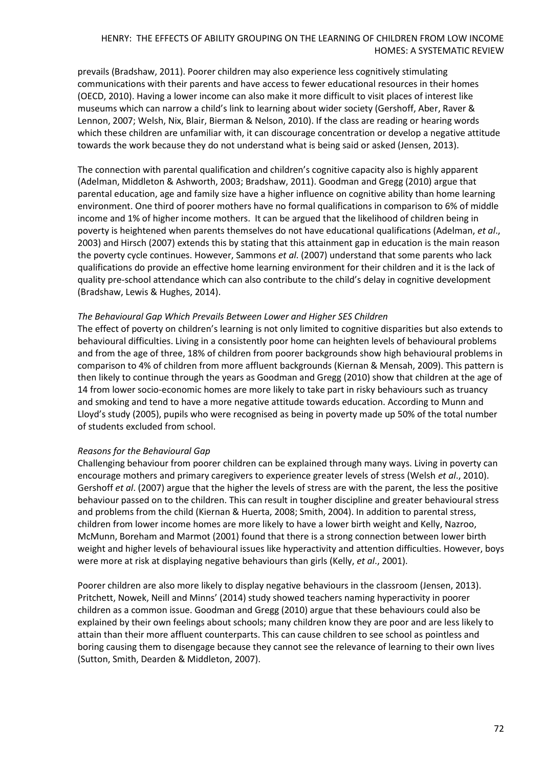prevails (Bradshaw, 2011). Poorer children may also experience less cognitively stimulating communications with their parents and have access to fewer educational resources in their homes (OECD, 2010). Having a lower income can also make it more difficult to visit places of interest like museums which can narrow a child's link to learning about wider society (Gershoff, Aber, Raver & Lennon, 2007; Welsh, Nix, Blair, Bierman & Nelson, 2010). If the class are reading or hearing words which these children are unfamiliar with, it can discourage concentration or develop a negative attitude towards the work because they do not understand what is being said or asked (Jensen, 2013).

The connection with parental qualification and children's cognitive capacity also is highly apparent (Adelman, Middleton & Ashworth, 2003; Bradshaw, 2011). Goodman and Gregg (2010) argue that parental education, age and family size have a higher influence on cognitive ability than home learning environment. One third of poorer mothers have no formal qualifications in comparison to 6% of middle income and 1% of higher income mothers. It can be argued that the likelihood of children being in poverty is heightened when parents themselves do not have educational qualifications (Adelman, *et al*., 2003) and Hirsch (2007) extends this by stating that this attainment gap in education is the main reason the poverty cycle continues. However, Sammons *et al*. (2007) understand that some parents who lack qualifications do provide an effective home learning environment for their children and it is the lack of quality pre-school attendance which can also contribute to the child's delay in cognitive development (Bradshaw, Lewis & Hughes, 2014).

#### *The Behavioural Gap Which Prevails Between Lower and Higher SES Children*

The effect of poverty on children's learning is not only limited to cognitive disparities but also extends to behavioural difficulties. Living in a consistently poor home can heighten levels of behavioural problems and from the age of three, 18% of children from poorer backgrounds show high behavioural problems in comparison to 4% of children from more affluent backgrounds (Kiernan & Mensah, 2009). This pattern is then likely to continue through the years as Goodman and Gregg (2010) show that children at the age of 14 from lower socio-economic homes are more likely to take part in risky behaviours such as truancy and smoking and tend to have a more negative attitude towards education. According to Munn and Lloyd's study (2005), pupils who were recognised as being in poverty made up 50% of the total number of students excluded from school.

#### *Reasons for the Behavioural Gap*

Challenging behaviour from poorer children can be explained through many ways. Living in poverty can encourage mothers and primary caregivers to experience greater levels of stress (Welsh *et al*., 2010). Gershoff *et al*. (2007) argue that the higher the levels of stress are with the parent, the less the positive behaviour passed on to the children. This can result in tougher discipline and greater behavioural stress and problems from the child (Kiernan & Huerta, 2008; Smith, 2004). In addition to parental stress, children from lower income homes are more likely to have a lower birth weight and Kelly, Nazroo, McMunn, Boreham and Marmot (2001) found that there is a strong connection between lower birth weight and higher levels of behavioural issues like hyperactivity and attention difficulties. However, boys were more at risk at displaying negative behaviours than girls (Kelly, *et al*., 2001).

Poorer children are also more likely to display negative behaviours in the classroom (Jensen, 2013). Pritchett, Nowek, Neill and Minns' (2014) study showed teachers naming hyperactivity in poorer children as a common issue. Goodman and Gregg (2010) argue that these behaviours could also be explained by their own feelings about schools; many children know they are poor and are less likely to attain than their more affluent counterparts. This can cause children to see school as pointless and boring causing them to disengage because they cannot see the relevance of learning to their own lives (Sutton, Smith, Dearden & Middleton, 2007).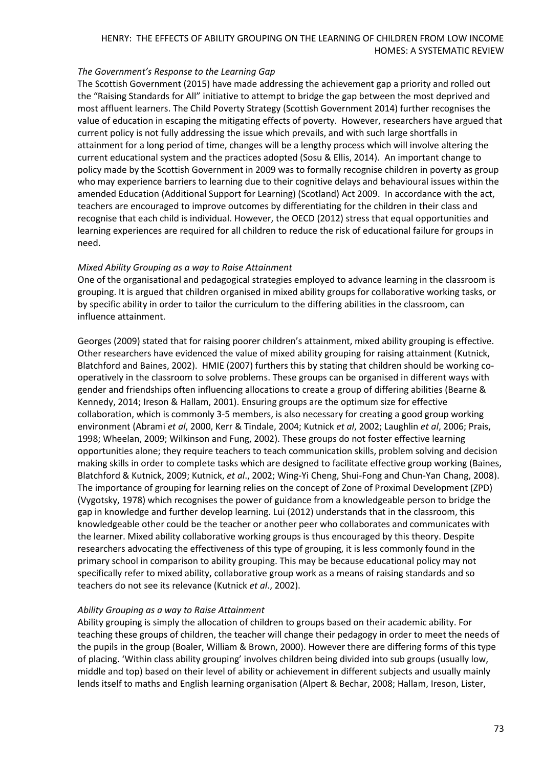## *The Government's Response to the Learning Gap*

The Scottish Government (2015) have made addressing the achievement gap a priority and rolled out the "Raising Standards for All" initiative to attempt to bridge the gap between the most deprived and most affluent learners. The Child Poverty Strategy (Scottish Government 2014) further recognises the value of education in escaping the mitigating effects of poverty. However, researchers have argued that current policy is not fully addressing the issue which prevails, and with such large shortfalls in attainment for a long period of time, changes will be a lengthy process which will involve altering the current educational system and the practices adopted (Sosu & Ellis, 2014). An important change to policy made by the Scottish Government in 2009 was to formally recognise children in poverty as group who may experience barriers to learning due to their cognitive delays and behavioural issues within the amended Education (Additional Support for Learning) (Scotland) Act 2009. In accordance with the act, teachers are encouraged to improve outcomes by differentiating for the children in their class and recognise that each child is individual. However, the OECD (2012) stress that equal opportunities and learning experiences are required for all children to reduce the risk of educational failure for groups in need.

# *Mixed Ability Grouping as a way to Raise Attainment*

One of the organisational and pedagogical strategies employed to advance learning in the classroom is grouping. It is argued that children organised in mixed ability groups for collaborative working tasks, or by specific ability in order to tailor the curriculum to the differing abilities in the classroom, can influence attainment.

Georges (2009) stated that for raising poorer children's attainment, mixed ability grouping is effective. Other researchers have evidenced the value of mixed ability grouping for raising attainment (Kutnick, Blatchford and Baines, 2002). HMIE (2007) furthers this by stating that children should be working cooperatively in the classroom to solve problems. These groups can be organised in different ways with gender and friendships often influencing allocations to create a group of differing abilities (Bearne & Kennedy, 2014; Ireson & Hallam, 2001). Ensuring groups are the optimum size for effective collaboration, which is commonly 3-5 members, is also necessary for creating a good group working environment (Abrami *et al*, 2000, Kerr & Tindale, 2004; Kutnick *et al*, 2002; Laughlin *et al*, 2006; Prais, 1998; Wheelan, 2009; Wilkinson and Fung, 2002). These groups do not foster effective learning opportunities alone; they require teachers to teach communication skills, problem solving and decision making skills in order to complete tasks which are designed to facilitate effective group working (Baines, Blatchford & Kutnick, 2009; Kutnick, *et al*., 2002; Wing-Yi Cheng, Shui-Fong and Chun-Yan Chang, 2008). The importance of grouping for learning relies on the concept of Zone of Proximal Development (ZPD) (Vygotsky, 1978) which recognises the power of guidance from a knowledgeable person to bridge the gap in knowledge and further develop learning. Lui (2012) understands that in the classroom, this knowledgeable other could be the teacher or another peer who collaborates and communicates with the learner. Mixed ability collaborative working groups is thus encouraged by this theory. Despite researchers advocating the effectiveness of this type of grouping, it is less commonly found in the primary school in comparison to ability grouping. This may be because educational policy may not specifically refer to mixed ability, collaborative group work as a means of raising standards and so teachers do not see its relevance (Kutnick *et al*., 2002).

# *Ability Grouping as a way to Raise Attainment*

Ability grouping is simply the allocation of children to groups based on their academic ability. For teaching these groups of children, the teacher will change their pedagogy in order to meet the needs of the pupils in the group (Boaler, William & Brown, 2000). However there are differing forms of this type of placing. 'Within class ability grouping' involves children being divided into sub groups (usually low, middle and top) based on their level of ability or achievement in different subjects and usually mainly lends itself to maths and English learning organisation (Alpert & Bechar, 2008; Hallam, Ireson, Lister,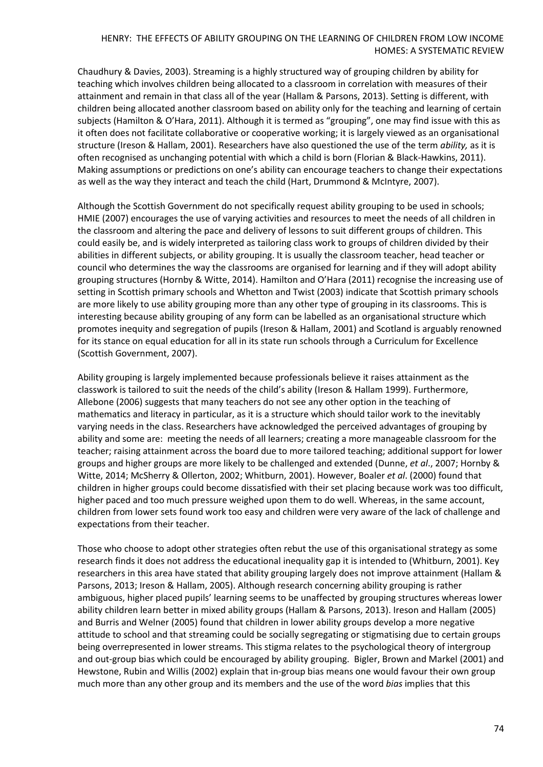Chaudhury & Davies, 2003). Streaming is a highly structured way of grouping children by ability for teaching which involves children being allocated to a classroom in correlation with measures of their attainment and remain in that class all of the year (Hallam & Parsons, 2013). Setting is different, with children being allocated another classroom based on ability only for the teaching and learning of certain subjects (Hamilton & O'Hara, 2011). Although it is termed as "grouping", one may find issue with this as it often does not facilitate collaborative or cooperative working; it is largely viewed as an organisational structure (Ireson & Hallam, 2001). Researchers have also questioned the use of the term *ability,* as it is often recognised as unchanging potential with which a child is born (Florian & Black-Hawkins, 2011). Making assumptions or predictions on one's ability can encourage teachers to change their expectations as well as the way they interact and teach the child (Hart, Drummond & McIntyre, 2007).

Although the Scottish Government do not specifically request ability grouping to be used in schools; HMIE (2007) encourages the use of varying activities and resources to meet the needs of all children in the classroom and altering the pace and delivery of lessons to suit different groups of children. This could easily be, and is widely interpreted as tailoring class work to groups of children divided by their abilities in different subjects, or ability grouping. It is usually the classroom teacher, head teacher or council who determines the way the classrooms are organised for learning and if they will adopt ability grouping structures (Hornby & Witte, 2014). Hamilton and O'Hara (2011) recognise the increasing use of setting in Scottish primary schools and Whetton and Twist (2003) indicate that Scottish primary schools are more likely to use ability grouping more than any other type of grouping in its classrooms. This is interesting because ability grouping of any form can be labelled as an organisational structure which promotes inequity and segregation of pupils (Ireson & Hallam, 2001) and Scotland is arguably renowned for its stance on equal education for all in its state run schools through a Curriculum for Excellence (Scottish Government, 2007).

Ability grouping is largely implemented because professionals believe it raises attainment as the classwork is tailored to suit the needs of the child's ability (Ireson & Hallam 1999). Furthermore, Allebone (2006) suggests that many teachers do not see any other option in the teaching of mathematics and literacy in particular, as it is a structure which should tailor work to the inevitably varying needs in the class. Researchers have acknowledged the perceived advantages of grouping by ability and some are: meeting the needs of all learners; creating a more manageable classroom for the teacher; raising attainment across the board due to more tailored teaching; additional support for lower groups and higher groups are more likely to be challenged and extended (Dunne, *et al*., 2007; Hornby & Witte, 2014; McSherry & Ollerton, 2002; Whitburn, 2001). However, Boaler *et al*. (2000) found that children in higher groups could become dissatisfied with their set placing because work was too difficult, higher paced and too much pressure weighed upon them to do well. Whereas, in the same account, children from lower sets found work too easy and children were very aware of the lack of challenge and expectations from their teacher.

Those who choose to adopt other strategies often rebut the use of this organisational strategy as some research finds it does not address the educational inequality gap it is intended to (Whitburn, 2001). Key researchers in this area have stated that ability grouping largely does not improve attainment (Hallam & Parsons, 2013; Ireson & Hallam, 2005). Although research concerning ability grouping is rather ambiguous, higher placed pupils' learning seems to be unaffected by grouping structures whereas lower ability children learn better in mixed ability groups (Hallam & Parsons, 2013). Ireson and Hallam (2005) and Burris and Welner (2005) found that children in lower ability groups develop a more negative attitude to school and that streaming could be socially segregating or stigmatising due to certain groups being overrepresented in lower streams. This stigma relates to the psychological theory of intergroup and out-group bias which could be encouraged by ability grouping. Bigler, Brown and Markel (2001) and Hewstone, Rubin and Willis (2002) explain that in-group bias means one would favour their own group much more than any other group and its members and the use of the word *bias* implies that this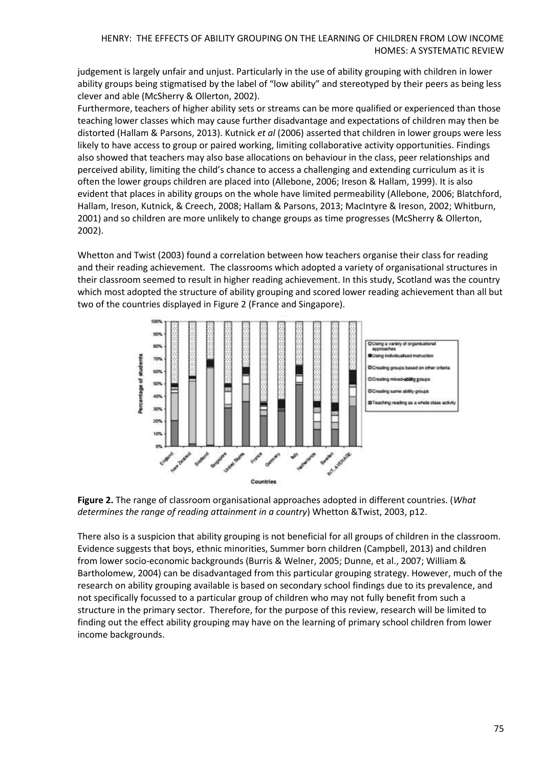judgement is largely unfair and unjust. Particularly in the use of ability grouping with children in lower ability groups being stigmatised by the label of "low ability" and stereotyped by their peers as being less clever and able (McSherry & Ollerton, 2002).

Furthermore, teachers of higher ability sets or streams can be more qualified or experienced than those teaching lower classes which may cause further disadvantage and expectations of children may then be distorted (Hallam & Parsons, 2013). Kutnick *et al* (2006) asserted that children in lower groups were less likely to have access to group or paired working, limiting collaborative activity opportunities. Findings also showed that teachers may also base allocations on behaviour in the class, peer relationships and perceived ability, limiting the child's chance to access a challenging and extending curriculum as it is often the lower groups children are placed into (Allebone, 2006; Ireson & Hallam, 1999). It is also evident that places in ability groups on the whole have limited permeability (Allebone, 2006; Blatchford, Hallam, Ireson, Kutnick, & Creech, 2008; Hallam & Parsons, 2013; MacIntyre & Ireson, 2002; Whitburn, 2001) and so children are more unlikely to change groups as time progresses (McSherry & Ollerton, 2002).

Whetton and Twist (2003) found a correlation between how teachers organise their class for reading and their reading achievement. The classrooms which adopted a variety of organisational structures in their classroom seemed to result in higher reading achievement. In this study, Scotland was the country which most adopted the structure of ability grouping and scored lower reading achievement than all but two of the countries displayed in Figure 2 (France and Singapore).





There also is a suspicion that ability grouping is not beneficial for all groups of children in the classroom. Evidence suggests that boys, ethnic minorities, Summer born children (Campbell, 2013) and children from lower socio-economic backgrounds (Burris & Welner, 2005; Dunne, et al., 2007; William & Bartholomew, 2004) can be disadvantaged from this particular grouping strategy. However, much of the research on ability grouping available is based on secondary school findings due to its prevalence, and not specifically focussed to a particular group of children who may not fully benefit from such a structure in the primary sector. Therefore, for the purpose of this review, research will be limited to finding out the effect ability grouping may have on the learning of primary school children from lower income backgrounds.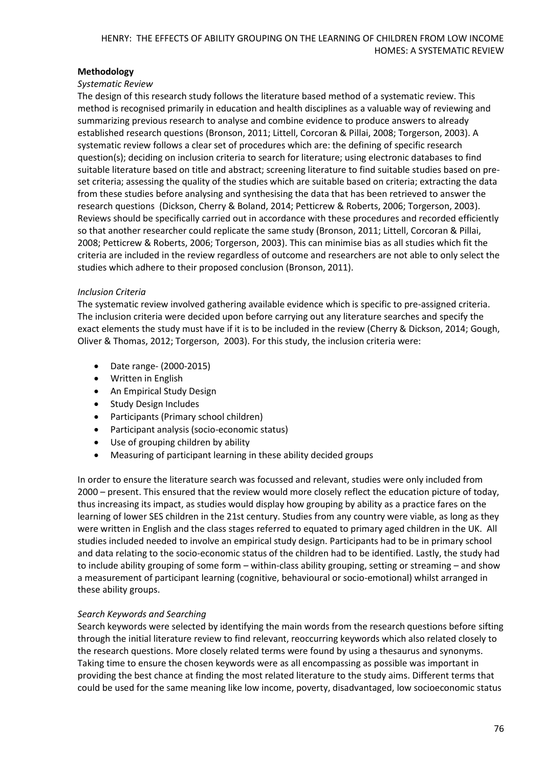# **Methodology**

# *Systematic Review*

The design of this research study follows the literature based method of a systematic review. This method is recognised primarily in education and health disciplines as a valuable way of reviewing and summarizing previous research to analyse and combine evidence to produce answers to already established research questions (Bronson, 2011; Littell, Corcoran & Pillai, 2008; Torgerson, 2003). A systematic review follows a clear set of procedures which are: the defining of specific research question(s); deciding on inclusion criteria to search for literature; using electronic databases to find suitable literature based on title and abstract; screening literature to find suitable studies based on preset criteria; assessing the quality of the studies which are suitable based on criteria; extracting the data from these studies before analysing and synthesising the data that has been retrieved to answer the research questions (Dickson, Cherry & Boland, 2014; Petticrew & Roberts, 2006; Torgerson, 2003). Reviews should be specifically carried out in accordance with these procedures and recorded efficiently so that another researcher could replicate the same study (Bronson, 2011; Littell, Corcoran & Pillai, 2008; Petticrew & Roberts, 2006; Torgerson, 2003). This can minimise bias as all studies which fit the criteria are included in the review regardless of outcome and researchers are not able to only select the studies which adhere to their proposed conclusion (Bronson, 2011).

# *Inclusion Criteria*

The systematic review involved gathering available evidence which is specific to pre-assigned criteria. The inclusion criteria were decided upon before carrying out any literature searches and specify the exact elements the study must have if it is to be included in the review (Cherry & Dickson, 2014; Gough, Oliver & Thomas, 2012; Torgerson, 2003). For this study, the inclusion criteria were:

- Date range- (2000-2015)
- Written in English
- An Empirical Study Design
- Study Design Includes
- Participants (Primary school children)
- Participant analysis (socio-economic status)
- Use of grouping children by ability
- Measuring of participant learning in these ability decided groups

In order to ensure the literature search was focussed and relevant, studies were only included from 2000 – present. This ensured that the review would more closely reflect the education picture of today, thus increasing its impact, as studies would display how grouping by ability as a practice fares on the learning of lower SES children in the 21st century. Studies from any country were viable, as long as they were written in English and the class stages referred to equated to primary aged children in the UK. All studies included needed to involve an empirical study design. Participants had to be in primary school and data relating to the socio-economic status of the children had to be identified. Lastly, the study had to include ability grouping of some form – within-class ability grouping, setting or streaming – and show a measurement of participant learning (cognitive, behavioural or socio-emotional) whilst arranged in these ability groups.

# *Search Keywords and Searching*

Search keywords were selected by identifying the main words from the research questions before sifting through the initial literature review to find relevant, reoccurring keywords which also related closely to the research questions. More closely related terms were found by using a thesaurus and synonyms. Taking time to ensure the chosen keywords were as all encompassing as possible was important in providing the best chance at finding the most related literature to the study aims. Different terms that could be used for the same meaning like low income, poverty, disadvantaged, low socioeconomic status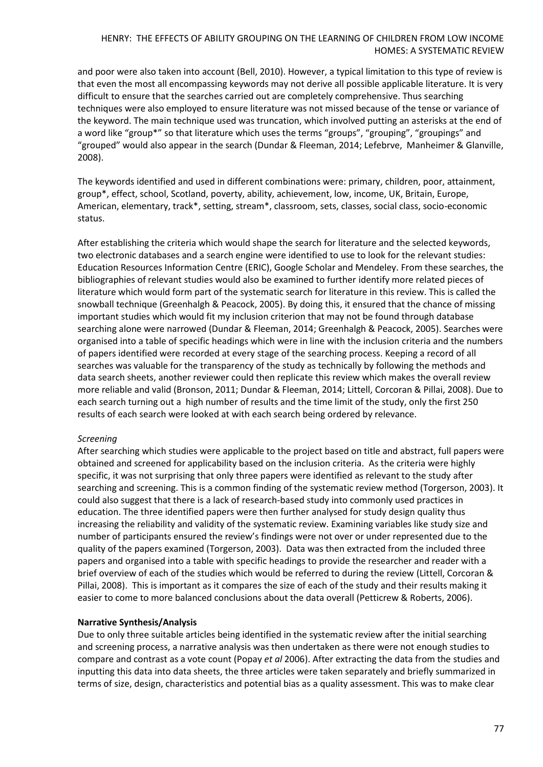and poor were also taken into account (Bell, 2010). However, a typical limitation to this type of review is that even the most all encompassing keywords may not derive all possible applicable literature. It is very difficult to ensure that the searches carried out are completely comprehensive. Thus searching techniques were also employed to ensure literature was not missed because of the tense or variance of the keyword. The main technique used was truncation, which involved putting an asterisks at the end of a word like "group\*" so that literature which uses the terms "groups", "grouping", "groupings" and "grouped" would also appear in the search (Dundar & Fleeman, 2014; Lefebrve, Manheimer & Glanville, 2008).

The keywords identified and used in different combinations were: primary, children, poor, attainment, group\*, effect, school, Scotland, poverty, ability, achievement, low, income, UK, Britain, Europe, American, elementary, track\*, setting, stream\*, classroom, sets, classes, social class, socio-economic status.

After establishing the criteria which would shape the search for literature and the selected keywords, two electronic databases and a search engine were identified to use to look for the relevant studies: Education Resources Information Centre (ERIC), Google Scholar and Mendeley. From these searches, the bibliographies of relevant studies would also be examined to further identify more related pieces of literature which would form part of the systematic search for literature in this review. This is called the snowball technique (Greenhalgh & Peacock, 2005). By doing this, it ensured that the chance of missing important studies which would fit my inclusion criterion that may not be found through database searching alone were narrowed (Dundar & Fleeman, 2014; Greenhalgh & Peacock, 2005). Searches were organised into a table of specific headings which were in line with the inclusion criteria and the numbers of papers identified were recorded at every stage of the searching process. Keeping a record of all searches was valuable for the transparency of the study as technically by following the methods and data search sheets, another reviewer could then replicate this review which makes the overall review more reliable and valid (Bronson, 2011; Dundar & Fleeman, 2014; Littell, Corcoran & Pillai, 2008). Due to each search turning out a high number of results and the time limit of the study, only the first 250 results of each search were looked at with each search being ordered by relevance.

#### *Screening*

After searching which studies were applicable to the project based on title and abstract, full papers were obtained and screened for applicability based on the inclusion criteria. As the criteria were highly specific, it was not surprising that only three papers were identified as relevant to the study after searching and screening. This is a common finding of the systematic review method (Torgerson, 2003). It could also suggest that there is a lack of research-based study into commonly used practices in education. The three identified papers were then further analysed for study design quality thus increasing the reliability and validity of the systematic review. Examining variables like study size and number of participants ensured the review's findings were not over or under represented due to the quality of the papers examined (Torgerson, 2003). Data was then extracted from the included three papers and organised into a table with specific headings to provide the researcher and reader with a brief overview of each of the studies which would be referred to during the review (Littell, Corcoran & Pillai, 2008). This is important as it compares the size of each of the study and their results making it easier to come to more balanced conclusions about the data overall (Petticrew & Roberts, 2006).

#### **Narrative Synthesis/Analysis**

Due to only three suitable articles being identified in the systematic review after the initial searching and screening process, a narrative analysis was then undertaken as there were not enough studies to compare and contrast as a vote count (Popay *et al* 2006). After extracting the data from the studies and inputting this data into data sheets, the three articles were taken separately and briefly summarized in terms of size, design, characteristics and potential bias as a quality assessment. This was to make clear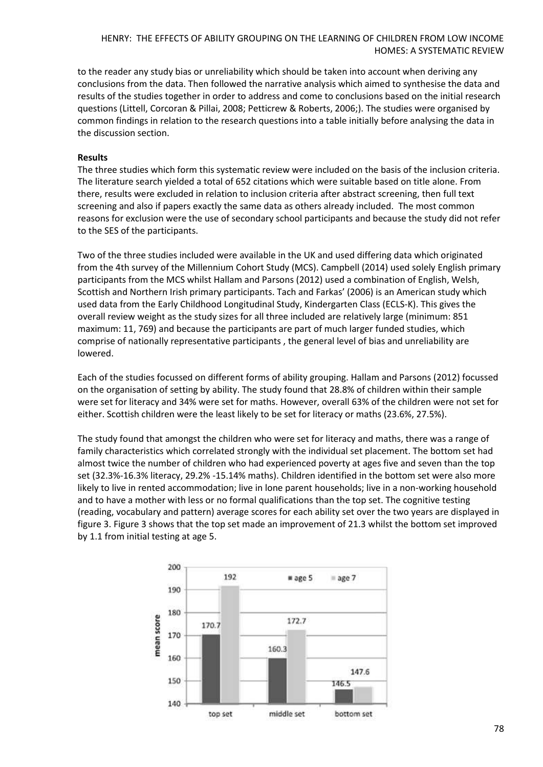to the reader any study bias or unreliability which should be taken into account when deriving any conclusions from the data. Then followed the narrative analysis which aimed to synthesise the data and results of the studies together in order to address and come to conclusions based on the initial research questions (Littell, Corcoran & Pillai, 2008; Petticrew & Roberts, 2006;). The studies were organised by common findings in relation to the research questions into a table initially before analysing the data in the discussion section.

#### **Results**

The three studies which form this systematic review were included on the basis of the inclusion criteria. The literature search yielded a total of 652 citations which were suitable based on title alone. From there, results were excluded in relation to inclusion criteria after abstract screening, then full text screening and also if papers exactly the same data as others already included. The most common reasons for exclusion were the use of secondary school participants and because the study did not refer to the SES of the participants.

Two of the three studies included were available in the UK and used differing data which originated from the 4th survey of the Millennium Cohort Study (MCS). Campbell (2014) used solely English primary participants from the MCS whilst Hallam and Parsons (2012) used a combination of English, Welsh, Scottish and Northern Irish primary participants. Tach and Farkas' (2006) is an American study which used data from the Early Childhood Longitudinal Study, Kindergarten Class (ECLS-K). This gives the overall review weight as the study sizes for all three included are relatively large (minimum: 851 maximum: 11, 769) and because the participants are part of much larger funded studies, which comprise of nationally representative participants , the general level of bias and unreliability are lowered.

Each of the studies focussed on different forms of ability grouping. Hallam and Parsons (2012) focussed on the organisation of setting by ability. The study found that 28.8% of children within their sample were set for literacy and 34% were set for maths. However, overall 63% of the children were not set for either. Scottish children were the least likely to be set for literacy or maths (23.6%, 27.5%).

The study found that amongst the children who were set for literacy and maths, there was a range of family characteristics which correlated strongly with the individual set placement. The bottom set had almost twice the number of children who had experienced poverty at ages five and seven than the top set (32.3%-16.3% literacy, 29.2% -15.14% maths). Children identified in the bottom set were also more likely to live in rented accommodation; live in lone parent households; live in a non-working household and to have a mother with less or no formal qualifications than the top set. The cognitive testing (reading, vocabulary and pattern) average scores for each ability set over the two years are displayed in figure 3. Figure 3 shows that the top set made an improvement of 21.3 whilst the bottom set improved by 1.1 from initial testing at age 5.

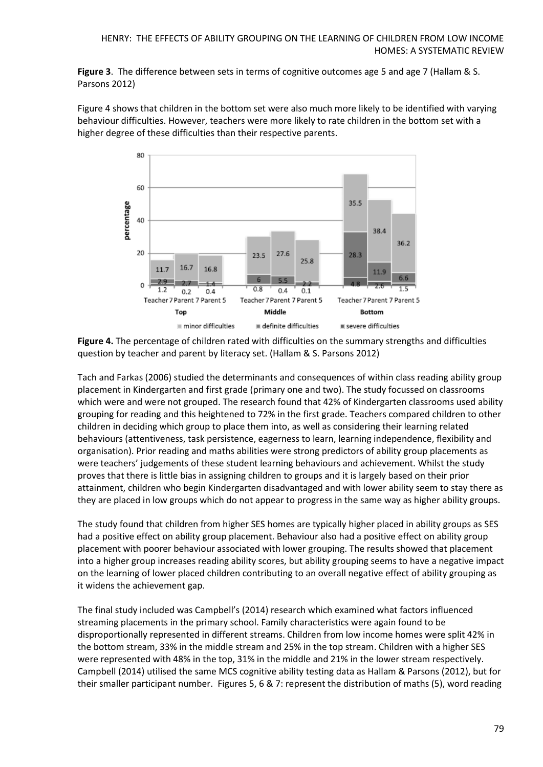**Figure 3**. The difference between sets in terms of cognitive outcomes age 5 and age 7 (Hallam & S. Parsons 2012)

Figure 4 shows that children in the bottom set were also much more likely to be identified with varying behaviour difficulties. However, teachers were more likely to rate children in the bottom set with a higher degree of these difficulties than their respective parents.



**Figure 4.** The percentage of children rated with difficulties on the summary strengths and difficulties question by teacher and parent by literacy set. (Hallam & S. Parsons 2012)

Tach and Farkas (2006) studied the determinants and consequences of within class reading ability group placement in Kindergarten and first grade (primary one and two). The study focussed on classrooms which were and were not grouped. The research found that 42% of Kindergarten classrooms used ability grouping for reading and this heightened to 72% in the first grade. Teachers compared children to other children in deciding which group to place them into, as well as considering their learning related behaviours (attentiveness, task persistence, eagerness to learn, learning independence, flexibility and organisation). Prior reading and maths abilities were strong predictors of ability group placements as were teachers' judgements of these student learning behaviours and achievement. Whilst the study proves that there is little bias in assigning children to groups and it is largely based on their prior attainment, children who begin Kindergarten disadvantaged and with lower ability seem to stay there as they are placed in low groups which do not appear to progress in the same way as higher ability groups.

The study found that children from higher SES homes are typically higher placed in ability groups as SES had a positive effect on ability group placement. Behaviour also had a positive effect on ability group placement with poorer behaviour associated with lower grouping. The results showed that placement into a higher group increases reading ability scores, but ability grouping seems to have a negative impact on the learning of lower placed children contributing to an overall negative effect of ability grouping as it widens the achievement gap.

The final study included was Campbell's (2014) research which examined what factors influenced streaming placements in the primary school. Family characteristics were again found to be disproportionally represented in different streams. Children from low income homes were split 42% in the bottom stream, 33% in the middle stream and 25% in the top stream. Children with a higher SES were represented with 48% in the top, 31% in the middle and 21% in the lower stream respectively. Campbell (2014) utilised the same MCS cognitive ability testing data as Hallam & Parsons (2012), but for their smaller participant number. Figures 5, 6 & 7: represent the distribution of maths (5), word reading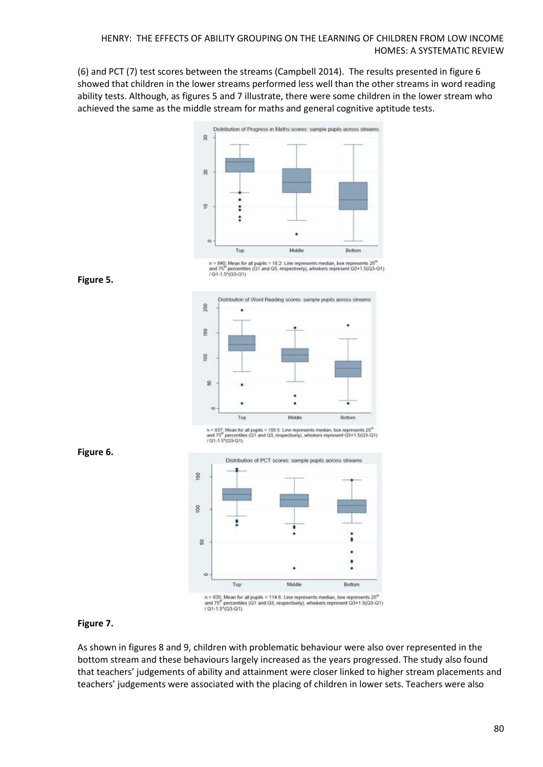(6) and PCT (7) test scores between the streams (Campbell 2014). The results presented in figure 6 showed that children in the lower streams performed less well than the other streams in word reading ability tests. Although, as figures 5 and 7 illustrate, there were some children in the lower stream who achieved the same as the middle stream for maths and general cognitive aptitude tests.







**Figure 6.**



 $n = 837$ ; Mean for all pupils = 108.5. Line represents median, box represents  $25^{27}$ <br>and  $75^{27}$  percentiles (01 and 03, respectively), whiskets represent 03+1.5(03-01)<br> $t$  01-1.5\*(03-01).



 $n$  = 835; Mean for all pupils = 114.6. Line represents median, box represents  $25^n$  and  $75^n$  percentiles (Q1 and Q3, respectively), whiskers represent Q3+1.5(Q3-Q1) / Q1-1.5\*(Q3-Q1)

# **Figure 7.**

As shown in figures 8 and 9, children with problematic behaviour were also over represented in the bottom stream and these behaviours largely increased as the years progressed. The study also found that teachers' judgements of ability and attainment were closer linked to higher stream placements and teachers' judgements were associated with the placing of children in lower sets. Teachers were also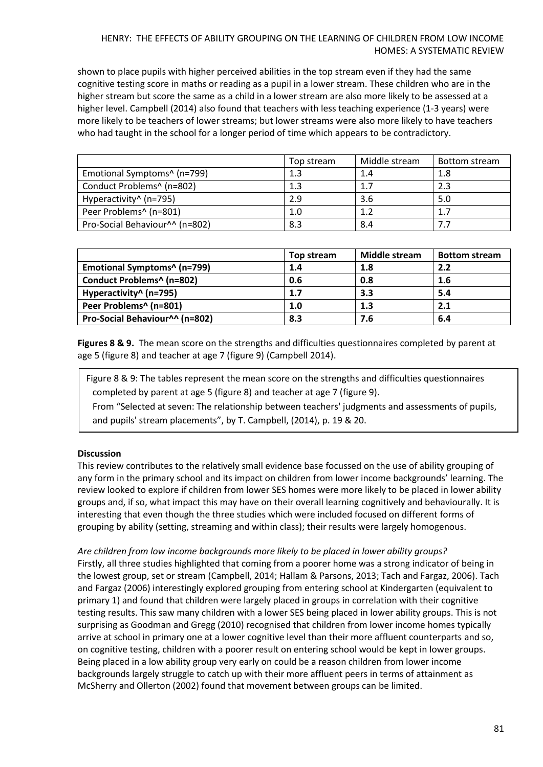shown to place pupils with higher perceived abilities in the top stream even if they had the same cognitive testing score in maths or reading as a pupil in a lower stream. These children who are in the higher stream but score the same as a child in a lower stream are also more likely to be assessed at a higher level. Campbell (2014) also found that teachers with less teaching experience (1-3 years) were more likely to be teachers of lower streams; but lower streams were also more likely to have teachers who had taught in the school for a longer period of time which appears to be contradictory.

|                                         | Top stream | Middle stream | Bottom stream |
|-----------------------------------------|------------|---------------|---------------|
| Emotional Symptoms <sup>^</sup> (n=799) | 1.3        | 1.4           | 1.8           |
| Conduct Problems^ (n=802)               | 1.3        | 1.7           | 2.3           |
| Hyperactivity^ (n=795)                  | 2.9        | 3.6           | 5.0           |
| Peer Problems^ (n=801)                  | 1.0        | 1.2           |               |
| Pro-Social Behaviour^^ (n=802)          | 8.3        | 8.4           |               |

|                                | Top stream | <b>Middle stream</b> | <b>Bottom stream</b> |
|--------------------------------|------------|----------------------|----------------------|
| Emotional Symptoms^ (n=799)    | 1.4        | 1.8                  | 2.2                  |
| Conduct Problems^ (n=802)      | 0.6        | 0.8                  | 1.6                  |
| Hyperactivity^ (n=795)         | 1.7        | 3.3                  | 5.4                  |
| Peer Problems^ (n=801)         | 1.0        | 1.3                  | 2.1                  |
| Pro-Social Behaviour^^ (n=802) | 8.3        | 7.6                  | 6.4                  |

**Figures 8 & 9.** The mean score on the strengths and difficulties questionnaires completed by parent at age 5 (figure 8) and teacher at age 7 (figure 9) (Campbell 2014).

Figure 8 & 9: The tables represent the mean score on the strengths and difficulties questionnaires completed by parent at age 5 (figure 8) and teacher at age 7 (figure 9).

From "Selected at seven: The relationship between teachers' judgments and assessments of pupils, and pupils' stream placements", by T. Campbell, (2014), p. 19 & 20.

# **Discussion**

This review contributes to the relatively small evidence base focussed on the use of ability grouping of any form in the primary school and its impact on children from lower income backgrounds' learning. The review looked to explore if children from lower SES homes were more likely to be placed in lower ability groups and, if so, what impact this may have on their overall learning cognitively and behaviourally. It is interesting that even though the three studies which were included focused on different forms of grouping by ability (setting, streaming and within class); their results were largely homogenous.

*Are children from low income backgrounds more likely to be placed in lower ability groups?* Firstly, all three studies highlighted that coming from a poorer home was a strong indicator of being in the lowest group, set or stream (Campbell, 2014; Hallam & Parsons, 2013; Tach and Fargaz, 2006). Tach and Fargaz (2006) interestingly explored grouping from entering school at Kindergarten (equivalent to primary 1) and found that children were largely placed in groups in correlation with their cognitive testing results. This saw many children with a lower SES being placed in lower ability groups. This is not surprising as Goodman and Gregg (2010) recognised that children from lower income homes typically arrive at school in primary one at a lower cognitive level than their more affluent counterparts and so, on cognitive testing, children with a poorer result on entering school would be kept in lower groups. Being placed in a low ability group very early on could be a reason children from lower income backgrounds largely struggle to catch up with their more affluent peers in terms of attainment as McSherry and Ollerton (2002) found that movement between groups can be limited.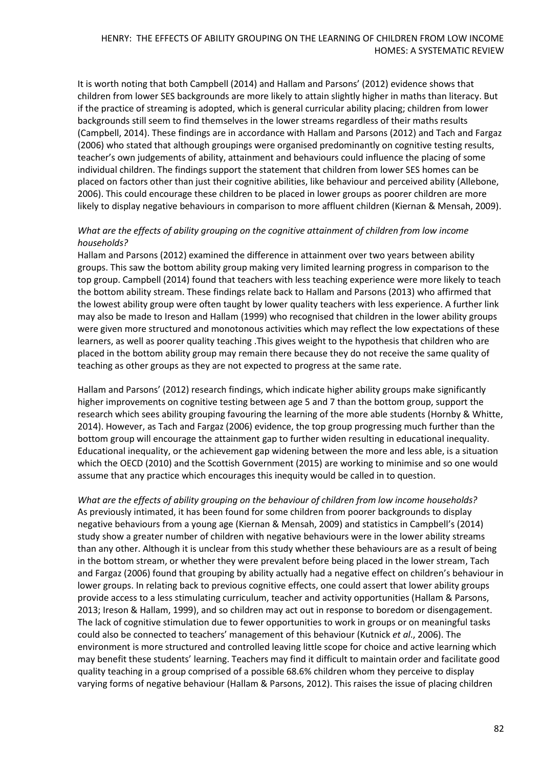It is worth noting that both Campbell (2014) and Hallam and Parsons' (2012) evidence shows that children from lower SES backgrounds are more likely to attain slightly higher in maths than literacy. But if the practice of streaming is adopted, which is general curricular ability placing; children from lower backgrounds still seem to find themselves in the lower streams regardless of their maths results (Campbell, 2014). These findings are in accordance with Hallam and Parsons (2012) and Tach and Fargaz (2006) who stated that although groupings were organised predominantly on cognitive testing results, teacher's own judgements of ability, attainment and behaviours could influence the placing of some individual children. The findings support the statement that children from lower SES homes can be placed on factors other than just their cognitive abilities, like behaviour and perceived ability (Allebone, 2006). This could encourage these children to be placed in lower groups as poorer children are more likely to display negative behaviours in comparison to more affluent children (Kiernan & Mensah, 2009).

# *What are the effects of ability grouping on the cognitive attainment of children from low income households?*

Hallam and Parsons (2012) examined the difference in attainment over two years between ability groups. This saw the bottom ability group making very limited learning progress in comparison to the top group. Campbell (2014) found that teachers with less teaching experience were more likely to teach the bottom ability stream. These findings relate back to Hallam and Parsons (2013) who affirmed that the lowest ability group were often taught by lower quality teachers with less experience. A further link may also be made to Ireson and Hallam (1999) who recognised that children in the lower ability groups were given more structured and monotonous activities which may reflect the low expectations of these learners, as well as poorer quality teaching .This gives weight to the hypothesis that children who are placed in the bottom ability group may remain there because they do not receive the same quality of teaching as other groups as they are not expected to progress at the same rate.

Hallam and Parsons' (2012) research findings, which indicate higher ability groups make significantly higher improvements on cognitive testing between age 5 and 7 than the bottom group, support the research which sees ability grouping favouring the learning of the more able students (Hornby & Whitte, 2014). However, as Tach and Fargaz (2006) evidence, the top group progressing much further than the bottom group will encourage the attainment gap to further widen resulting in educational inequality. Educational inequality, or the achievement gap widening between the more and less able, is a situation which the OECD (2010) and the Scottish Government (2015) are working to minimise and so one would assume that any practice which encourages this inequity would be called in to question.

*What are the effects of ability grouping on the behaviour of children from low income households?*  As previously intimated, it has been found for some children from poorer backgrounds to display negative behaviours from a young age (Kiernan & Mensah, 2009) and statistics in Campbell's (2014) study show a greater number of children with negative behaviours were in the lower ability streams than any other. Although it is unclear from this study whether these behaviours are as a result of being in the bottom stream, or whether they were prevalent before being placed in the lower stream, Tach and Fargaz (2006) found that grouping by ability actually had a negative effect on children's behaviour in lower groups. In relating back to previous cognitive effects, one could assert that lower ability groups provide access to a less stimulating curriculum, teacher and activity opportunities (Hallam & Parsons, 2013; Ireson & Hallam, 1999), and so children may act out in response to boredom or disengagement. The lack of cognitive stimulation due to fewer opportunities to work in groups or on meaningful tasks could also be connected to teachers' management of this behaviour (Kutnick *et al*., 2006). The environment is more structured and controlled leaving little scope for choice and active learning which may benefit these students' learning. Teachers may find it difficult to maintain order and facilitate good quality teaching in a group comprised of a possible 68.6% children whom they perceive to display varying forms of negative behaviour (Hallam & Parsons, 2012). This raises the issue of placing children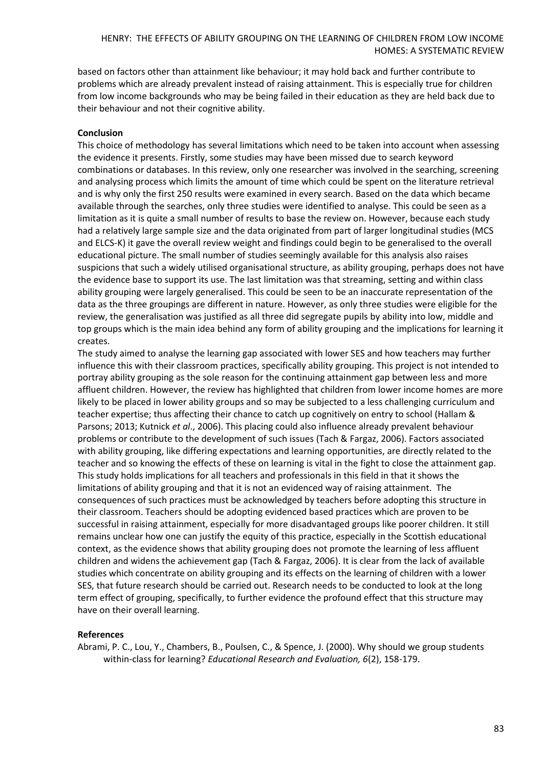based on factors other than attainment like behaviour; it may hold back and further contribute to problems which are already prevalent instead of raising attainment. This is especially true for children from low income backgrounds who may be being failed in their education as they are held back due to their behaviour and not their cognitive ability.

## **Conclusion**

This choice of methodology has several limitations which need to be taken into account when assessing the evidence it presents. Firstly, some studies may have been missed due to search keyword combinations or databases. In this review, only one researcher was involved in the searching, screening and analysing process which limits the amount of time which could be spent on the literature retrieval and is why only the first 250 results were examined in every search. Based on the data which became available through the searches, only three studies were identified to analyse. This could be seen as a limitation as it is quite a small number of results to base the review on. However, because each study had a relatively large sample size and the data originated from part of larger longitudinal studies (MCS and ELCS-K) it gave the overall review weight and findings could begin to be generalised to the overall educational picture. The small number of studies seemingly available for this analysis also raises suspicions that such a widely utilised organisational structure, as ability grouping, perhaps does not have the evidence base to support its use. The last limitation was that streaming, setting and within class ability grouping were largely generalised. This could be seen to be an inaccurate representation of the data as the three groupings are different in nature. However, as only three studies were eligible for the review, the generalisation was justified as all three did segregate pupils by ability into low, middle and top groups which is the main idea behind any form of ability grouping and the implications for learning it creates.

The study aimed to analyse the learning gap associated with lower SES and how teachers may further influence this with their classroom practices, specifically ability grouping. This project is not intended to portray ability grouping as the sole reason for the continuing attainment gap between less and more affluent children. However, the review has highlighted that children from lower income homes are more likely to be placed in lower ability groups and so may be subjected to a less challenging curriculum and teacher expertise; thus affecting their chance to catch up cognitively on entry to school (Hallam & Parsons; 2013; Kutnick *et al*., 2006). This placing could also influence already prevalent behaviour problems or contribute to the development of such issues (Tach & Fargaz, 2006). Factors associated with ability grouping, like differing expectations and learning opportunities, are directly related to the teacher and so knowing the effects of these on learning is vital in the fight to close the attainment gap. This study holds implications for all teachers and professionals in this field in that it shows the limitations of ability grouping and that it is not an evidenced way of raising attainment. The consequences of such practices must be acknowledged by teachers before adopting this structure in their classroom. Teachers should be adopting evidenced based practices which are proven to be successful in raising attainment, especially for more disadvantaged groups like poorer children. It still remains unclear how one can justify the equity of this practice, especially in the Scottish educational context, as the evidence shows that ability grouping does not promote the learning of less affluent children and widens the achievement gap (Tach & Fargaz, 2006). It is clear from the lack of available studies which concentrate on ability grouping and its effects on the learning of children with a lower SES, that future research should be carried out. Research needs to be conducted to look at the long term effect of grouping, specifically, to further evidence the profound effect that this structure may have on their overall learning.

#### **References**

Abrami, P. C., Lou, Y., Chambers, B., Poulsen, C., & Spence, J. (2000). Why should we group students within-class for learning? *Educational Research and Evaluation, 6*(2), 158-179.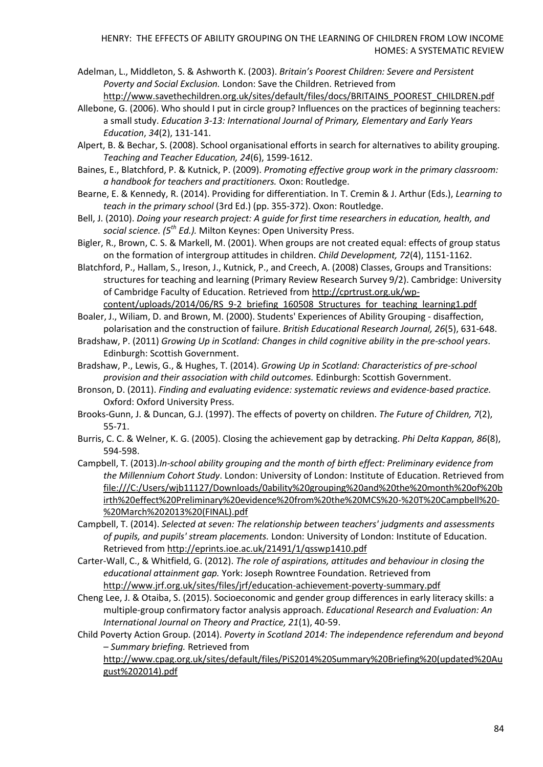- Adelman, L., Middleton, S. & Ashworth K. (2003). *Britain's Poorest Children: Severe and Persistent Poverty and Social Exclusion.* London: Save the Children. Retrieved from [http://www.savethechildren.org.uk/sites/default/files/docs/BRITAINS\\_POOREST\\_CHILDREN.pdf](http://www.savethechildren.org.uk/sites/default/files/docs/BRITAINS_POOREST_CHILDREN.pdf)
- Allebone, G. (2006). Who should I put in circle group? Influences on the practices of beginning teachers: a small study. *Education 3-13: International Journal of Primary, Elementary and Early Years Education*, *34*(2), 131-141.
- Alpert, B. & Bechar, S. (2008). School organisational efforts in search for alternatives to ability grouping. *Teaching and Teacher Education, 24*(6), 1599-1612.
- Baines, E., Blatchford, P. & Kutnick, P. (2009). *Promoting effective group work in the primary classroom: a handbook for teachers and practitioners.* Oxon: Routledge.
- Bearne, E. & Kennedy, R. (2014). Providing for differentiation. In T. Cremin & J. Arthur (Eds.), *Learning to teach in the primary school* (3rd Ed.) (pp. 355-372). Oxon: Routledge.
- Bell, J. (2010). *Doing your research project: A guide for first time researchers in education, health, and social science. (5th Ed.).* Milton Keynes: Open University Press.
- Bigler, R., Brown, C. S. & Markell, M. (2001). When groups are not created equal: effects of group status on the formation of intergroup attitudes in children. *Child Development, 72*(4), 1151-1162.
- Blatchford, P., Hallam, S., Ireson, J., Kutnick, P., and Creech, A. (2008) Classes, Groups and Transitions: structures for teaching and learning (Primary Review Research Survey 9/2). Cambridge: University of Cambridge Faculty of Education. Retrieved from [http://cprtrust.org.uk/wp](http://cprtrust.org.uk/wp-content/uploads/2014/06/RS_9-2_briefing_160508_Structures_for_teaching_learning1.pdf)[content/uploads/2014/06/RS\\_9-2\\_briefing\\_160508\\_Structures\\_for\\_teaching\\_learning1.pdf](http://cprtrust.org.uk/wp-content/uploads/2014/06/RS_9-2_briefing_160508_Structures_for_teaching_learning1.pdf)
- Boaler, J., Wiliam, D. and Brown, M. (2000). Students' Experiences of Ability Grouping disaffection, polarisation and the construction of failure. *British Educational Research Journal, 26*(5), 631-648.
- Bradshaw, P. (2011) *Growing Up in Scotland: Changes in child cognitive ability in the pre-school years*. Edinburgh: Scottish Government.
- Bradshaw, P., Lewis, G., & Hughes, T. (2014). *Growing Up in Scotland: Characteristics of pre-school provision and their association with child outcomes.* Edinburgh: Scottish Government.
- Bronson, D. (2011). *Finding and evaluating evidence: systematic reviews and evidence-based practice.* Oxford: Oxford University Press.
- Brooks-Gunn, J. & Duncan, G.J. (1997). The effects of poverty on children. *The Future of Children, 7*(2), 55-71.
- Burris, C. C. & Welner, K. G. (2005). Closing the achievement gap by detracking. *Phi Delta Kappan, 86*(8), 594-598.
- Campbell, T. (2013).*In-school ability grouping and the month of birth effect: Preliminary evidence from the Millennium Cohort Study*. London: University of London: Institute of Education. Retrieved from [file:///C:/Users/wjb11127/Downloads/0ability%20grouping%20and%20the%20month%20of%20b](file:///C:/Users/wjb11127/Downloads/0ability%20grouping%20and%20the%20month%20of%20birth%20effect%20Preliminary%20evidence%20from%20the%20MCS%20-%20T%20Campbell%20-%20March%202013%20(FINAL).pdf) [irth%20effect%20Preliminary%20evidence%20from%20the%20MCS%20-%20T%20Campbell%20-](file:///C:/Users/wjb11127/Downloads/0ability%20grouping%20and%20the%20month%20of%20birth%20effect%20Preliminary%20evidence%20from%20the%20MCS%20-%20T%20Campbell%20-%20March%202013%20(FINAL).pdf) [%20March%202013%20\(FINAL\).pdf](file:///C:/Users/wjb11127/Downloads/0ability%20grouping%20and%20the%20month%20of%20birth%20effect%20Preliminary%20evidence%20from%20the%20MCS%20-%20T%20Campbell%20-%20March%202013%20(FINAL).pdf)
- Campbell, T. (2014). *Selected at seven: The relationship between teachers' judgments and assessments of pupils, and pupils' stream placements.* London: University of London: Institute of Education. Retrieved from<http://eprints.ioe.ac.uk/21491/1/qsswp1410.pdf>
- Carter-Wall, C., & Whitfield, G. (2012). *The role of aspirations, attitudes and behaviour in closing the educational attainment gap.* York: Joseph Rowntree Foundation. Retrieved from <http://www.jrf.org.uk/sites/files/jrf/education-achievement-poverty-summary.pdf>
- Cheng Lee, J. & Otaiba, S. (2015). Socioeconomic and gender group differences in early literacy skills: a multiple-group confirmatory factor analysis approach. *Educational Research and Evaluation: An International Journal on Theory and Practice, 21*(1), 40-59.
- Child Poverty Action Group. (2014). *Poverty in Scotland 2014: The independence referendum and beyond – Summary briefing.* Retrieved from

[http://www.cpag.org.uk/sites/default/files/PiS2014%20Summary%20Briefing%20\(updated%20Au](http://www.cpag.org.uk/sites/default/files/PiS2014%20Summary%20Briefing%20(updated%20August%202014).pdf) [gust%202014\).pdf](http://www.cpag.org.uk/sites/default/files/PiS2014%20Summary%20Briefing%20(updated%20August%202014).pdf)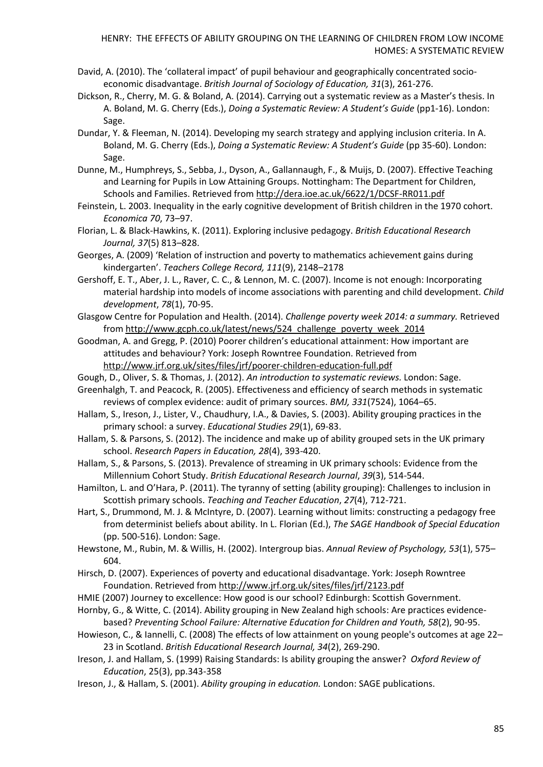- David, A. (2010). The 'collateral impact' of pupil behaviour and geographically concentrated socioeconomic disadvantage. *British Journal of Sociology of Education, 31*(3), 261-276.
- Dickson, R., Cherry, M. G. & Boland, A. (2014). Carrying out a systematic review as a Master's thesis. In A. Boland, M. G. Cherry (Eds.), *Doing a Systematic Review: A Student's Guide* (pp1-16). London: Sage.
- Dundar, Y. & Fleeman, N. (2014). Developing my search strategy and applying inclusion criteria. In A. Boland, M. G. Cherry (Eds.), *Doing a Systematic Review: A Student's Guide* (pp 35-60). London: Sage.
- Dunne, M., Humphreys, S., Sebba, J., Dyson, A., Gallannaugh, F., & Muijs, D. (2007). Effective Teaching and Learning for Pupils in Low Attaining Groups. Nottingham: The Department for Children, Schools and Families. Retrieved from<http://dera.ioe.ac.uk/6622/1/DCSF-RR011.pdf>
- Feinstein, L. 2003. Inequality in the early cognitive development of British children in the 1970 cohort. *Economica 70*, 73–97.
- Florian, L. & Black-Hawkins, K. (2011). Exploring inclusive pedagogy. *British Educational Research Journal, 37*(5) 813–828.
- Georges, A. (2009) 'Relation of instruction and poverty to mathematics achievement gains during kindergarten'. *Teachers College Record, 111*(9), 2148–2178
- Gershoff, E. T., Aber, J. L., Raver, C. C., & Lennon, M. C. (2007). Income is not enough: Incorporating material hardship into models of income associations with parenting and child development. *Child development*, *78*(1), 70-95.
- Glasgow Centre for Population and Health. (2014). *Challenge poverty week 2014: a summary.* Retrieved fro[m http://www.gcph.co.uk/latest/news/524\\_challenge\\_poverty\\_week\\_2014](http://www.gcph.co.uk/latest/news/524_challenge_poverty_week_2014)
- Goodman, A. and Gregg, P. (2010) Poorer children's educational attainment: How important are attitudes and behaviour? York: Joseph Rowntree Foundation. Retrieved from <http://www.jrf.org.uk/sites/files/jrf/poorer-children-education-full.pdf>
- Gough, D., Oliver, S. & Thomas, J. (2012). *An introduction to systematic reviews.* London: Sage.
- Greenhalgh, T. and Peacock, R. (2005). Effectiveness and efficiency of search methods in systematic reviews of complex evidence: audit of primary sources. *BMJ, 331*(7524), 1064–65.
- Hallam, S., Ireson, J., Lister, V., Chaudhury, I.A., & Davies, S. (2003). [Ability grouping practices in the](http://philpapers.org/go.pl?id=HALAGP&proxyId=&u=http%3A%2F%2Fwww.tandfonline.com%2Fdoi%2Fabs%2F10.1080%2F03055690303268)  [primary school:](http://philpapers.org/go.pl?id=HALAGP&proxyId=&u=http%3A%2F%2Fwww.tandfonline.com%2Fdoi%2Fabs%2F10.1080%2F03055690303268) a survey. *[Educational Studies](http://philpapers.org/asearch.pl?pubn=Educational%20Studies) 29*(1), 69-83.
- Hallam, S. & Parsons, S. (2012). The incidence and make up of ability grouped sets in the UK primary school. *Research Papers in Education, 28*(4), 393-420.
- Hallam, S., & Parsons, S. (2013). Prevalence of streaming in UK primary schools: Evidence from the Millennium Cohort Study. *British Educational Research Journal*, *39*(3), 514-544.
- Hamilton, L. and O'Hara, P. (2011). The tyranny of setting (ability grouping): Challenges to inclusion in Scottish primary schools. *[Teaching and Teacher Education](http://www.sciencedirect.com/science/journal/0742051X)*, *27*(4), 712-721.
- Hart, S., Drummond, M. J. & McIntyre, D. (2007). Learning without limits: constructing a pedagogy free from determinist beliefs about ability. In L. Florian (Ed.), *The SAGE Handbook of Special Education* (pp. 500-516). London: Sage.
- Hewstone, M., Rubin, M. & Willis, H. (2002). Intergroup bias. *Annual Review of Psychology, 53*(1), 575– 604.
- Hirsch, D. (2007). Experiences of poverty and educational disadvantage. York: Joseph Rowntree Foundation. Retrieved from<http://www.jrf.org.uk/sites/files/jrf/2123.pdf>
- HMIE (2007) Journey to excellence: How good is our school? Edinburgh: Scottish Government.
- Hornby, G., & Witte, C. (2014). Ability grouping in New Zealand high schools: Are practices evidencebased? *Preventing School Failure: Alternative Education for Children and Youth, 58*(2), 90-95.
- Howieson, C., & Iannelli, C. (2008) The effects of low attainment on young people's outcomes at age 22– 23 in Scotland. *British Educational Research Journal, 34*(2), 269-290.
- Ireson, J. and Hallam, S. (1999[\) Raising Standards: Is ability grouping the answer?](http://ensor.lib.strath.ac.uk/sfxlcl41?frbrVersion=5&ctx_ver=Z39.88-2004&ctx_enc=info:ofi/enc:UTF-8&ctx_tim=2015-07-23T13%3A40%3A33IST&url_ver=Z39.88-2004&url_ctx_fmt=infofi/fmt:kev:mtx:ctx&rfr_id=info:sid/primo.exlibrisgroup.com:primo3-Article-crossref&rft_val_fmt=info:ofi/fmt:kev:mtx:&rft.genre=article&rft.atitle=Raising%20Standards:%20Is%20ability%20grouping%20the%20answer%3F&rft.jtitle=Oxford%20Review%20of%20Education&rft.btitle=&rft.aulast=Ireson&rft.auinit=&rft.auinit1=&rft.auinitm=&rft.ausuffix=&rft.au=Ireson%2C%20Judith&rft.aucorp=&rft.date=199909&rft.volume=25&rft.issue=3&rft.part=&rft.quarter=&rft.ssn=&rft.spage=343&rft.epage=358&rft.pages=343-358&rft.artnum=&rft.issn=0305-4985&rft.eissn=1465-3915&rft.isbn=&rft.sici=&rft.coden=&rft_id=info:doi/10.1080/030549899104026&rft.object_id=&svc_val_fmt=info:ofi/fmt:kev:mtx:sch_svc&svc.fulltext=yes&rft_id=info:oai/) *Oxford Review of Education*, 25(3), pp.343-358
- Ireson, J., & Hallam, S. (2001). *Ability grouping in education.* London: SAGE publications.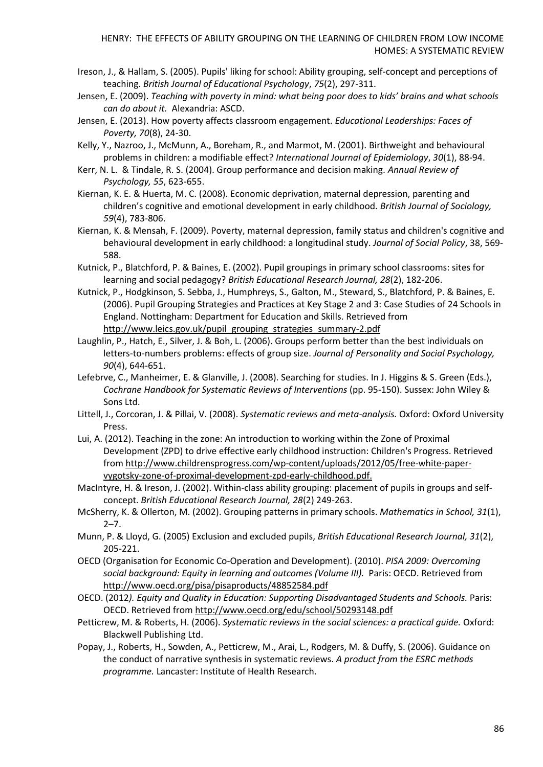- Ireson, J., & Hallam, S. (2005). Pupils' liking for school: Ability grouping, self‐concept and perceptions of teaching. *British Journal of Educational Psychology*, *75*(2), 297-311.
- Jensen, E. (2009). *Teaching with poverty in mind: what being poor does to kids' brains and what schools can do about it.* Alexandria: ASCD.
- Jensen, E. (2013). How poverty affects classroom engagement. *Educational Leaderships: Faces of Poverty, 70*(8), 24-30.
- Kelly, Y., Nazroo, J., McMunn, A., Boreham, R., and Marmot, M. (2001). Birthweight and behavioural problems in children: a modifiable effect? *International Journal of Epidemiology*, *30*(1), 88-94.
- Kerr, N. L. & Tindale, R. S. (2004). Group performance and decision making. *Annual Review of Psychology, 55*, 623-655.
- Kiernan, K. E. & Huerta, M. C. (2008). Economic deprivation, maternal depression, parenting and children's cognitive and emotional development in early childhood. *British Journal of Sociology, 59*(4), 783-806.
- Kiernan, K. & Mensah, F. (2009). Poverty, maternal depression, family status and children's cognitive and behavioural development in early childhood: a longitudinal study. *Journal of Social Policy*, 38, 569- 588.
- Kutnick, P., Blatchford, P. & Baines, E. (2002). Pupil groupings in primary school classrooms: sites for learning and social pedagogy? *British Educational Research Journal, 28*(2), 182-206.
- Kutnick, P., Hodgkinson, S. Sebba, J., Humphreys, S., Galton, M., Steward, S., Blatchford, P. & Baines, E. (2006). Pupil Grouping Strategies and Practices at Key Stage 2 and 3: Case Studies of 24 Schools in England. Nottingham: Department for Education and Skills. Retrieved from [http://www.leics.gov.uk/pupil\\_grouping\\_strategies\\_summary-2.pdf](http://www.leics.gov.uk/pupil_grouping_strategies_summary-2.pdf)
- Laughlin, P., Hatch, E., Silver, J. & Boh, L. (2006). Groups perform better than the best individuals on letters-to-numbers problems: effects of group size. *Journal of Personality and Social Psychology, 90*(4), 644-651.
- Lefebrve, C., Manheimer, E. & Glanville, J. (2008). Searching for studies. In J. Higgins & S. Green (Eds.), *Cochrane Handbook for Systematic Reviews of Interventions* (pp. 95-150). Sussex: John Wiley & Sons Ltd.
- Littell, J., Corcoran, J. & Pillai, V. (2008). *Systematic reviews and meta-analysis.* Oxford: Oxford University Press.
- Lui, A. (2012). Teaching in the zone: An introduction to working within the Zone of Proximal Development (ZPD) to drive effective early childhood instruction: Children's Progress. Retrieved fro[m http://www.childrensprogress.com/wp-content/uploads/2012/05/free-white-paper](http://www.childrensprogress.com/wp-content/uploads/2012/05/free-white-paper-vygotsky-zone-of-proximal-development-zpd-early-childhood.pdf)[vygotsky-zone-of-proximal-development-zpd-early-childhood.pdf.](http://www.childrensprogress.com/wp-content/uploads/2012/05/free-white-paper-vygotsky-zone-of-proximal-development-zpd-early-childhood.pdf)
- MacIntyre, H. & Ireson, J. (2002). Within-class ability grouping: placement of pupils in groups and selfconcept. *British Educational Research Journal, 28*(2) 249-263.
- McSherry, K. & Ollerton, M. (2002). Grouping patterns in primary schools. *Mathematics in School, 31*(1),  $2 - 7$ .
- Munn, P. & Lloyd, G. (2005) Exclusion and excluded pupils, *British Educational Research Journal, 31*(2), 205-221.
- OECD (Organisation for Economic Co-Operation and Development). (2010). *PISA 2009: Overcoming social background: Equity in learning and outcomes (Volume III).* Paris: OECD. Retrieved from <http://www.oecd.org/pisa/pisaproducts/48852584.pdf>
- OECD. (2012*). Equity and Quality in Education: Supporting Disadvantaged Students and Schools.* Paris: OECD. Retrieved from<http://www.oecd.org/edu/school/50293148.pdf>
- Petticrew, M. & Roberts, H. (2006). *Systematic reviews in the social sciences: a practical guide.* Oxford: Blackwell Publishing Ltd.
- Popay, J., Roberts, H., Sowden, A., Petticrew, M., Arai, L., Rodgers, M. & Duffy, S. (2006). Guidance on the conduct of narrative synthesis in systematic reviews. *A product from the ESRC methods programme.* Lancaster: Institute of Health Research.